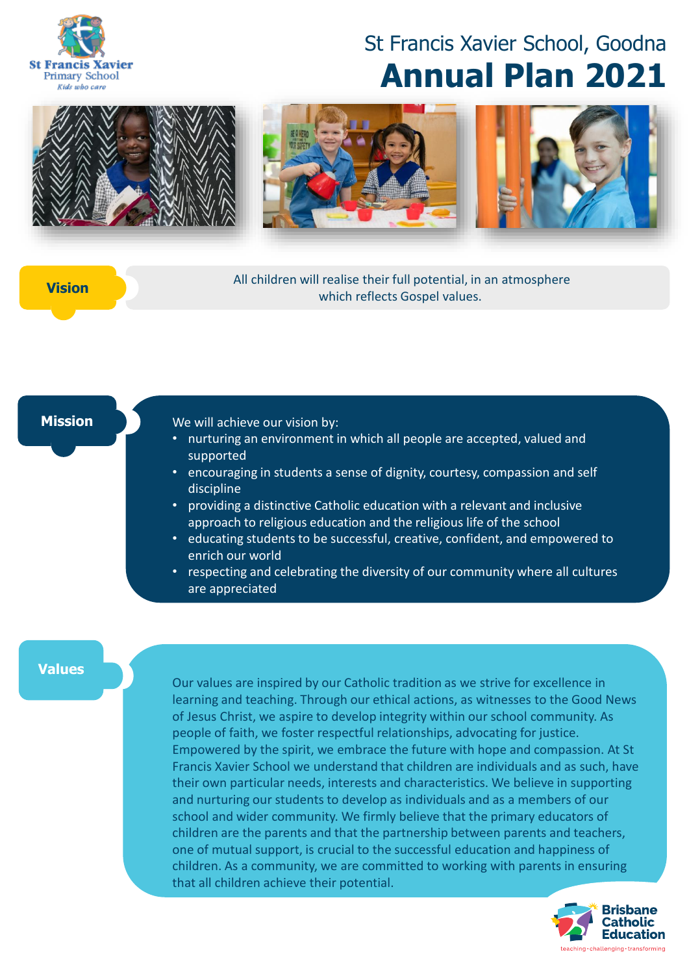

# St Francis Xavier School, Goodna **Annual Plan 2021**



All children will realise their full potential, in an atmosphere which reflects Gospel values. **Vision**

#### **Mission**

#### We will achieve our vision by:

- nurturing an environment in which all people are accepted, valued and supported
- encouraging in students a sense of dignity, courtesy, compassion and self discipline
- providing a distinctive Catholic education with a relevant and inclusive approach to religious education and the religious life of the school
- educating students to be successful, creative, confident, and empowered to enrich our world
- respecting and celebrating the diversity of our community where all cultures are appreciated

#### **Values**

Our values are inspired by our Catholic tradition as we strive for excellence in learning and teaching. Through our ethical actions, as witnesses to the Good News of Jesus Christ, we aspire to develop integrity within our school community. As people of faith, we foster respectful relationships, advocating for justice. Empowered by the spirit, we embrace the future with hope and compassion. At St Francis Xavier School we understand that children are individuals and as such, have their own particular needs, interests and characteristics. We believe in supporting and nurturing our students to develop as individuals and as a members of our school and wider community. We firmly believe that the primary educators of children are the parents and that the partnership between parents and teachers, one of mutual support, is crucial to the successful education and happiness of children. As a community, we are committed to working with parents in ensuring that all children achieve their potential.

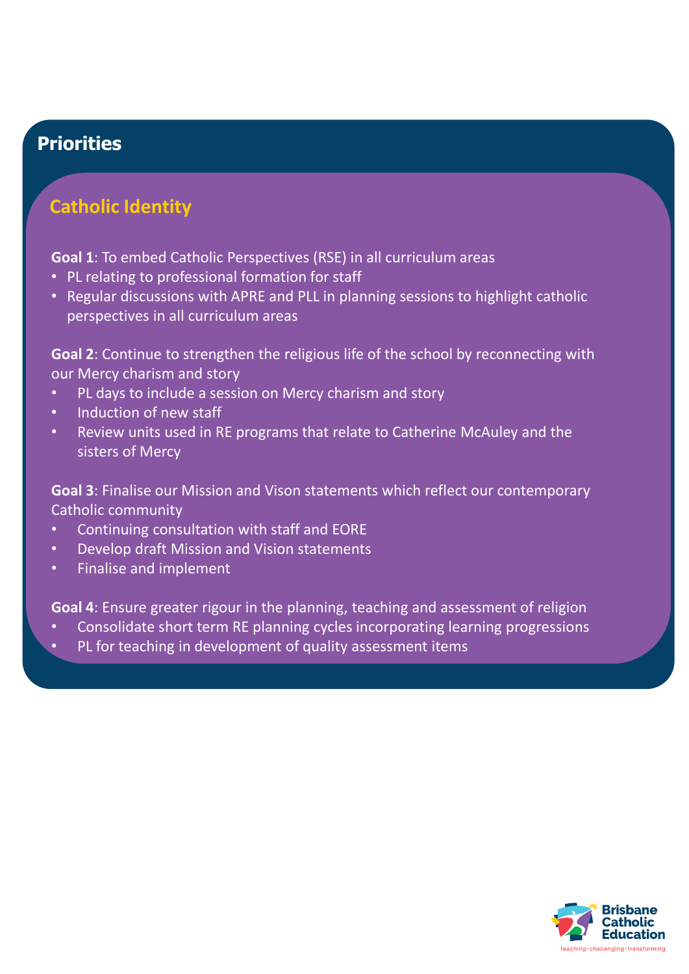# **Catholic Identity**

**Goal 1**: To embed Catholic Perspectives (RSE) in all curriculum areas

- PL relating to professional formation for staff
- Regular discussions with APRE and PLL in planning sessions to highlight catholic perspectives in all curriculum areas

**Goal 2**: Continue to strengthen the religious life of the school by reconnecting with our Mercy charism and story

- PL days to include a session on Mercy charism and story
- Induction of new staff
- Review units used in RE programs that relate to Catherine McAuley and the sisters of Mercy

**Goal 3**: Finalise our Mission and Vison statements which reflect our contemporary Catholic community

- Continuing consultation with staff and EORE
- Develop draft Mission and Vision statements
- Finalise and implement

**Goal 4**: Ensure greater rigour in the planning, teaching and assessment of religion

- Consolidate short term RE planning cycles incorporating learning progressions
- PL for teaching in development of quality assessment items

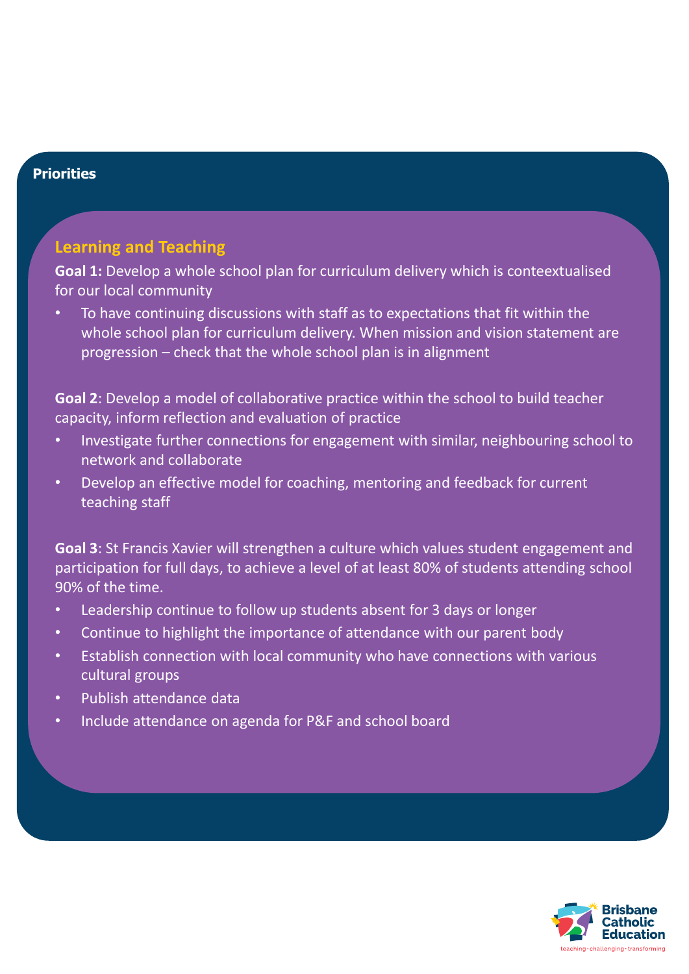# **Learning and Teaching**

Goal 1: Develop a whole school plan for curriculum delivery which is conteextualised for our local community

• To have continuing discussions with staff as to expectations that fit within the whole school plan for curriculum delivery. When mission and vision statement are progression – check that the whole school plan is in alignment

**Goal 2**: Develop a model of collaborative practice within the school to build teacher capacity, inform reflection and evaluation of practice

- Investigate further connections for engagement with similar, neighbouring school to network and collaborate
- Develop an effective model for coaching, mentoring and feedback for current teaching staff

**Goal 3**: St Francis Xavier will strengthen a culture which values student engagement and participation for full days, to achieve a level of at least 80% of students attending school 90% of the time.

- Leadership continue to follow up students absent for 3 days or longer
- Continue to highlight the importance of attendance with our parent body
- Establish connection with local community who have connections with various cultural groups
- Publish attendance data
- Include attendance on agenda for P&F and school board

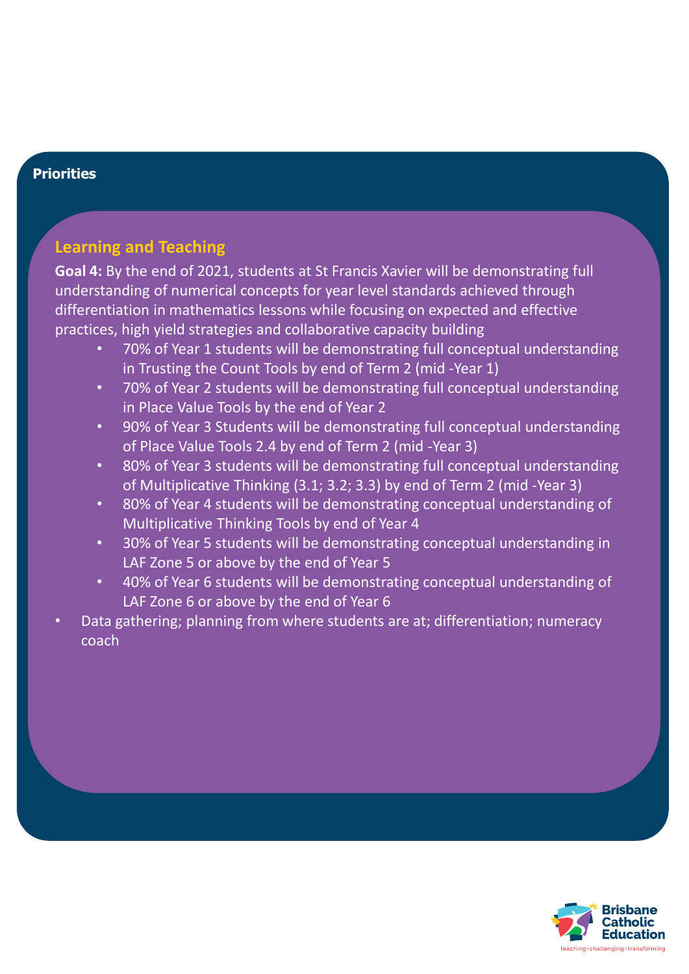# **Learning and Teaching**

**Goal 4:** By the end of 2021, students at St Francis Xavier will be demonstrating full understanding of numerical concepts for year level standards achieved through differentiation in mathematics lessons while focusing on expected and effective practices, high yield strategies and collaborative capacity building

- 70% of Year 1 students will be demonstrating full conceptual understanding in Trusting the Count Tools by end of Term 2 (mid -Year 1)
- 70% of Year 2 students will be demonstrating full conceptual understanding in Place Value Tools by the end of Year 2
- 90% of Year 3 Students will be demonstrating full conceptual understanding of Place Value Tools 2.4 by end of Term 2 (mid -Year 3)
- 80% of Year 3 students will be demonstrating full conceptual understanding of Multiplicative Thinking (3.1; 3.2; 3.3) by end of Term 2 (mid -Year 3)
- 80% of Year 4 students will be demonstrating conceptual understanding of Multiplicative Thinking Tools by end of Year 4
- 30% of Year 5 students will be demonstrating conceptual understanding in LAF Zone 5 or above by the end of Year 5
- 40% of Year 6 students will be demonstrating conceptual understanding of LAF Zone 6 or above by the end of Year 6
- Data gathering; planning from where students are at; differentiation; numeracy coach

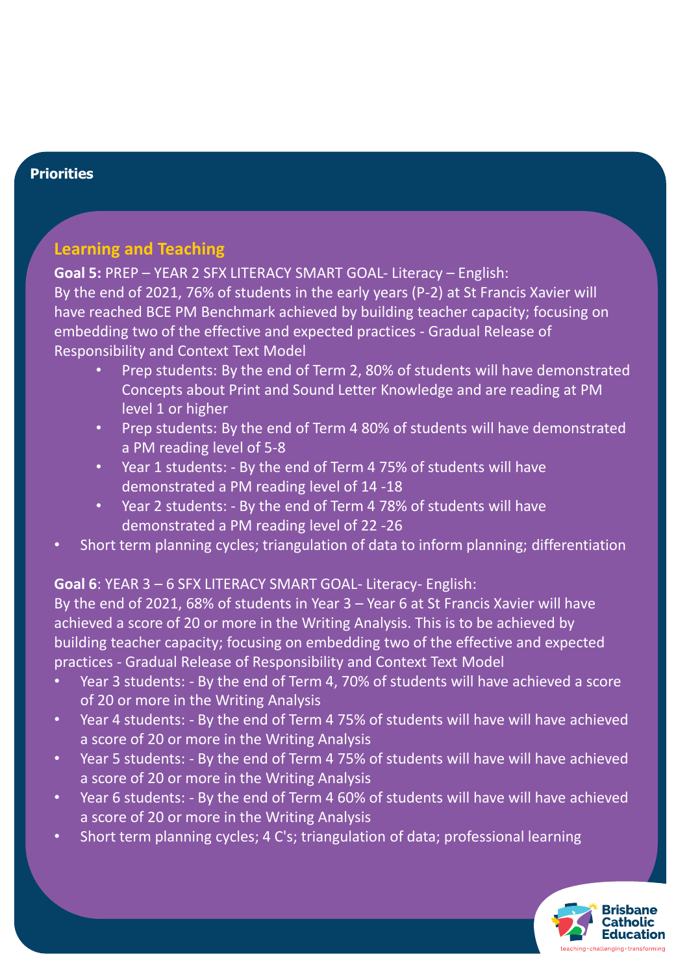# **Learning and Teaching**

**Goal 5:** PREP – YEAR 2 SFX LITERACY SMART GOAL- Literacy – English: By the end of 2021, 76% of students in the early years (P-2) at St Francis Xavier will have reached BCE PM Benchmark achieved by building teacher capacity; focusing on embedding two of the effective and expected practices - Gradual Release of Responsibility and Context Text Model

- Prep students: By the end of Term 2, 80% of students will have demonstrated Concepts about Print and Sound Letter Knowledge and are reading at PM level 1 or higher
- Prep students: By the end of Term 4 80% of students will have demonstrated a PM reading level of 5-8
- Year 1 students: By the end of Term 4 75% of students will have demonstrated a PM reading level of 14 -18
- Year 2 students: By the end of Term 4 78% of students will have demonstrated a PM reading level of 22 -26
- Short term planning cycles; triangulation of data to inform planning; differentiation

# **Goal 6**: YEAR 3 – 6 SFX LITERACY SMART GOAL- Literacy- English:

By the end of 2021, 68% of students in Year 3 – Year 6 at St Francis Xavier will have achieved a score of 20 or more in the Writing Analysis. This is to be achieved by building teacher capacity; focusing on embedding two of the effective and expected practices - Gradual Release of Responsibility and Context Text Model

- Year 3 students: By the end of Term 4, 70% of students will have achieved a score of 20 or more in the Writing Analysis
- Year 4 students: By the end of Term 4 75% of students will have will have achieved a score of 20 or more in the Writing Analysis
- Year 5 students: By the end of Term 4 75% of students will have will have achieved a score of 20 or more in the Writing Analysis
- Year 6 students: By the end of Term 4 60% of students will have will have achieved a score of 20 or more in the Writing Analysis
- Short term planning cycles; 4 C's; triangulation of data; professional learning